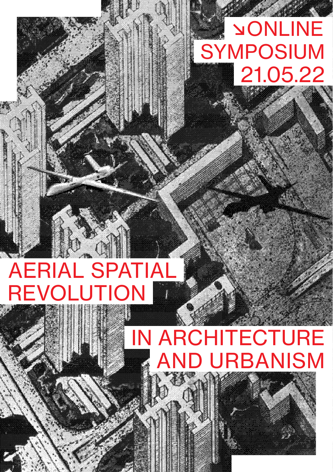## 21.05.22 SYMPOSIUM ↘ONLINE

## AERIAL SPATIAL REVOLUTION

## IN ARCHITECTURE **ND URBANISM**